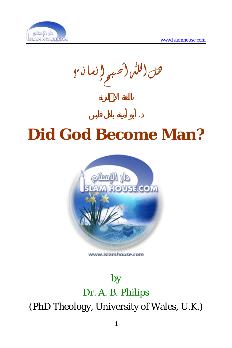

هل (الله (أصبح إنسانا والمحل

# **Did God Become Man?**

. أبو أمينة بلال فلبس



www.islamhouse.com

by Dr. A. B. Philips (PhD Theology, University of Wales, U.K.)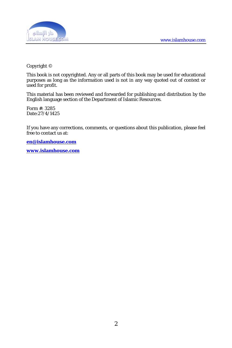

Copyright ©

This book is not copyrighted. Any or all parts of this book may be used for educational purposes as long as the information used is not in any way quoted out of context or used for profit.

This material has been reviewed and forwarded for publishing and distribution by the English language section of the Department of Islamic Resources.

Form #: 3285 Date:27/4/1425

If you have any corrections, comments, or questions about this publication, please feel free to contact us at:

**[en@islamhouse.com](mailto:en@islamhouse.com)**

**[www.islamhouse.com](http://www.islamhouse.com/)**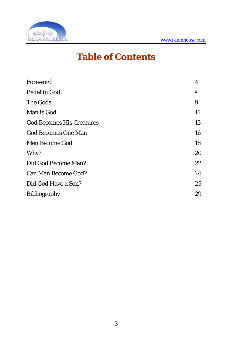

### **Table of Contents**

| Foreword                         | 4  |
|----------------------------------|----|
| <b>Belief in God</b>             | ٥  |
| <b>The Gods</b>                  | 9  |
| Man is God                       | 11 |
| <b>God Becomes His Creatures</b> | 13 |
| <b>God Becomes One Man</b>       | 16 |
| <b>Men Become God</b>            | 18 |
| Why?                             | 20 |
| Did God Become Man?              | 22 |
| <b>Can Man Become God?</b>       | ۲4 |
| Did God Have a Son?              | 25 |
| <b>Bibliography</b>              | 29 |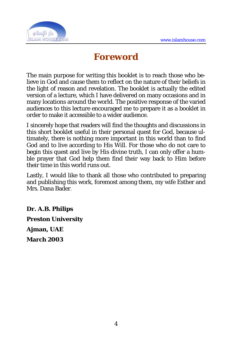

#### **Foreword**

The main purpose for writing this booklet is to reach those who believe in God and cause them to reflect on the nature of their beliefs in the light of reason and revelation. The booklet is actually the edited version of a lecture, which I have delivered on many occasions and in many locations around the world. The positive response of the varied audiences to this lecture encouraged me to prepare it as a booklet in order to make it accessible to a wider audience.

I sincerely hope that readers will find the thoughts and discussions in this short booklet useful in their personal quest for God, because ultimately, there is nothing more important in this world than to find God and to live according to His Will. For those who do not care to begin this quest and live by His divine truth, I can only offer a humble prayer that God help them find their way back to Him before their time in this world runs out.

Lastly, I would like to thank all those who contributed to preparing and publishing this work, foremost among them, my wife Esther and Mrs. Dana Bader.

**Dr. A.B. Philips Preston University Ajman, UAE March 2003**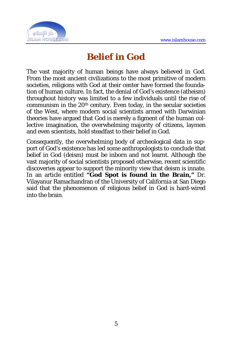

# **Belief in God**

The vast majority of human beings have always believed in God. From the most ancient civilizations to the most primitive of modern societies, religions with God at their center have formed the foundation of human culture. In fact, the denial of God's existence (atheism) throughout history was limited to a few individuals until the rise of communism in the 20<sup>th</sup> century. Even today, in the secular societies of the West, where modern social scientists armed with Darwinian theories have argued that God is merely a figment of the human collective imagination, the overwhelming majority of citizens, laymen and even scientists, hold steadfast to their belief in God.

Consequently, the overwhelming body of archeological data in support of God's existence has led some anthropologists to conclude that belief in God (deism) must be inborn and not learnt. Although the vast majority of social scientists proposed otherwise, recent scientific discoveries appear to support the minority view that deism is innate. In an article entitled **"God Spot is found in the Brain,"** Dr. Vilayanur Ramachandran of the University of California at San Diego said that the phenomenon of religious belief in God is hard-wired into the brain.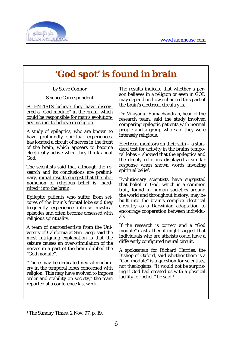

# **'God spot' is found in brain**

by Steve Connor

Science Correspondent

SCIENTISTS believe they have discovered a "God module" in the brain, which could be responsible for man's evolutionary instinct to believe in religion.

A study of epileptics, who are known to have profoundly spiritual experiences, has located a circuit of nerves in the front of the brain, which appears to become electrically active when they think about God.

The scientists said that although the research and its conclusions are preliminary, initial results suggest that the phenomenon of religious belief is "hardwired" into the brain.

Epileptic patients who suffer from seizures of the brain's frontal lobe said they frequently experience intense mystical episodes and often become obsessed with religious spirituality.

A team of neuroscientists from the University of California at San Diego said the most intriguing explanation is that the seizure causes an over-stimulation of the nerves in a part of the brain dubbed the "God module".

"There may be dedicated neural machinery in the temporal lobes concerned with religion. This may have evolved to impose order and stability on society," the team reported at a conference last week.

The results indicate that whether a person believes in a religion or even in GOD may depend on how enhanced this part of the brain's electrical circuitry is.

Dr. Vilayanur Ramachandran, head of the research team, said the study involved comparing epileptic patients with normal people and a group who said they were intensely religious.

Electrical monitors on their skin – a standard test for activity in the brains temporal lobes – showed that the epileptics and the deeply religious displayed a similar response when shown words invoking spiritual belief.

Evolutionary scientists have suggested that belief in God, which is a common trait, found in human societies around the world and throughout history, may be built into the brain's complex electrical circuitry as a Darwinian adaptation to encourage cooperation between individuals.

If the research is correct and a "God module" exists, then it might suggest that individuals who are atheists could have a differently configured neural circuit.

A spokesman for Richard Harries, the Bishop of Oxford, said whether there is a "God module" is a question for scientists, not theologians. "It would not be surprising if God had created us with a physical facility for belief," he said.<sup>1</sup>

<u>.</u>

<sup>1</sup> *The Sunday Times*, 2 Nov. 97, p. 19.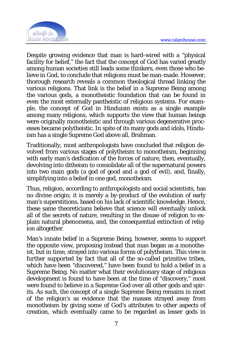

Despite growing evidence that man is hard-wired with a "physical facility for belief," the fact that the concept of God has varied greatly among human societies still leads some thinkers, even those who believe in God, to conclude that religions must be man-made. However, thorough research reveals a common theological thread linking the various religions. That link is the belief in a Supreme Being among the various gods, a monotheistic foundation that can be found in even the most externally pantheistic of religious systems. For example, the concept of God in Hinduism exists as a single example among many religions, which supports the view that human beings were originally monotheistic and through various degenerative processes became polytheistic. In spite of its many gods and idols, Hinduism has a single Supreme God above all, Brahman.

Traditionally, most anthropologists have concluded that religion devolved from various stages of polytheism to monotheism, beginning with early man's deification of the forces of nature, then, eventually, devolving into ditheism to consolidate all of the supernatural powers into two main gods (a god of good and a god of evil), and, finally, simplifying into a belief in one god, monotheism.

Thus, religion, according to anthropologists and social scientists, has no divine origin; it is merely a by-product of the evolution of early man's superstitions, based on his lack of scientific knowledge. Hence, these same theoreticians believe that science will eventually unlock all of the secrets of nature, resulting in the disuse of religion to explain natural phenomena, and, the consequential extinction of religion altogether.

Man's innate belief in a Supreme Being, however, seems to support the opposite view, proposing instead that man began as a monotheist, but in time, strayed into various forms of polytheism. This view is further supported by fact that all of the so-called primitive tribes, which have been "discovered," have been found to hold a belief in a Supreme Being. No matter what their evolutionary stage of religious development is found to have been at the time of "discovery," most were found to believe in a Supreme God over all other gods and spirits. As such, the concept of a single Supreme Being remains in most of the religion's as evidence that the masses strayed away from monotheism by giving some of God's attributes to other aspects of creation, which eventually came to be regarded as lesser gods in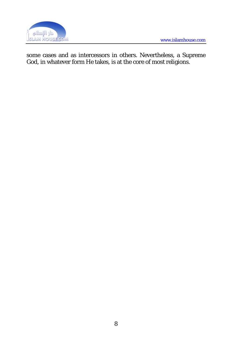

some cases and as intercessors in others. Nevertheless, a Supreme God, in whatever form He takes, is at the core of most religions.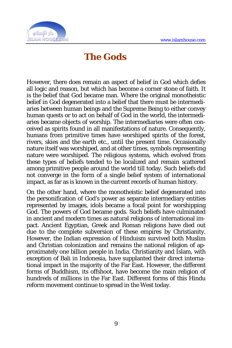

### **The Gods**

However, there does remain an aspect of belief in God which defies all logic and reason, but which has become a corner stone of faith. It is the belief that God became man. Where the original monotheistic belief in God degenerated into a belief that there must be intermediaries between human beings and the Supreme Being to either convey human quests or to act on behalf of God in the world, the intermediaries became objects of worship. The intermediaries were often conceived as spirits found in all manifestations of nature. Consequently, humans from primitive times have worshiped spirits of the forest, rivers, skies and the earth etc., until the present time. Occasionally nature itself was worshiped, and at other times, symbols representing nature were worshiped. The religious systems, which evolved from these types of beliefs tended to be localized and remain scattered among primitive people around the world till today. Such beliefs did not converge in the form of a single belief system of international impact, as far as is known in the current records of human history.

On the other hand, where the monotheistic belief degenerated into the personification of God's power as separate intermediary entities represented by images, idols became a focal point for worshipping God. The powers of God became gods. Such beliefs have culminated in ancient and modern times as natural religions of international impact. Ancient Egyptian, Greek and Roman religions have died out due to the complete subversion of these empires by Christianity. However, the Indian expression of Hinduism survived both Muslim and Christian colonization and remains the national religion of approximately one billion people in India. Christianity and Islam, with exception of Bali in Indonesia, have supplanted their direct international impact in the majority of the Far East. However, the different forms of Buddhism, its offshoot, have become the main religion of hundreds of millions in the Far East. Different forms of this Hindu reform movement continue to spread in the West today.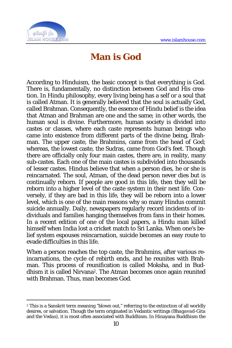

1

#### **Man is God**

According to Hinduism, the basic concept is that everything is God. There is, fundamentally, no distinction between God and His creation. In Hindu philosophy, every living being has a self or a soul that is called Atman. It is generally believed that the soul is actually God, called Brahman. Consequently, the essence of Hindu belief is the idea that Atman and Brahman are one and the same; in other words, the human soul is divine. Furthermore, human society is divided into castes or classes, where each caste represents human beings who came into existence from different parts of the divine being, Brahman. The upper caste, the Brahmins, came from the head of God; whereas, the lowest caste, the Sudras, came from God's feet. Though there are officially only four main castes, there a[re](#page-9-0), in reality, many sub-castes. Each one of the main castes is subdivided into thousands of lesser castes. Hindus believe that when a person dies, he or she is reincarnated. The soul, Atman, of the dead person never dies but is continually reborn. If people are good in this life, then they will be reborn into a higher level of the caste system in their next life. Conversely, if they are bad in this life, they will be reborn into a lower level, which is one of the main reasons why so many Hindus commit suicide annually. Daily, newspapers regularly record incidents of individuals and families hanging themselves from fans in their homes. In a recent edition of one of the local papers, a Hindu man killed himself when India lost a cricket match to Sri Lanka. When one's belief system espouses reincarnation, suicide becomes an easy route to evade difficulties in this life.

When a person reaches the top caste, the Brahmins, after various reincarnations, the cycle of rebirth ends, and he reunites with Brahman. This process of reunification is called Moksha, and in Buddhism it is called Nirvana2. The Atman becomes once again reunited with Brahman. Thus, man becomes God.

<span id="page-9-0"></span><sup>2</sup> This is a Sanskrit term meaning "blown out," referring to the extinction of all worldly desires, or salvation. Though the term originated in Vedantic writings (*Bhagavad-Gita* and the *Vedas*), it is most often associated with Buddhism. In Hinayana Buddhism the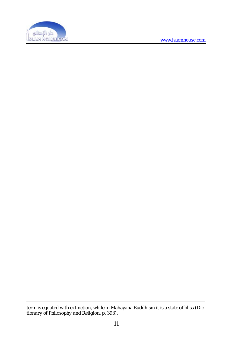

<u>.</u>

term is equated with extinction, while in Mahayana Buddhism it is a state of bliss (*Dictionary of Philosophy and Religion*, p. 393).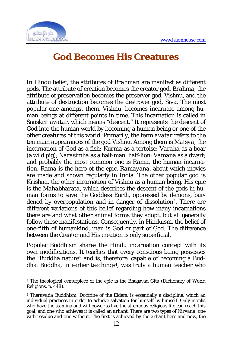

1

#### **God Becomes His Creatures**

In Hindu belief, the attributes of *Brahman* are manifest as different gods. The attribute of creation becomes the creator god, *Brahma*, the attribute of preservation becomes the preserver god, *Vishnu*, and the attribute of destruction becomes the destroyer god, *Siva*. The most popular one amongst them, *Vishnu*, becomes incarnate among human beings at different points in time. This incarnation is called in Sanskrit *avatar*, which means "descent." It represents the descent of God into the human world by becoming a human being or one of the other creatures of this world. Primarily, the term *avatar* refers to the ten main appearances of the god *Vishnu*. Among them is *Matsya*, the incarnation of God as a fish; *Kurma* as a tortoise; *Varaha*as a boar (a wild pig); *Narasimha* as a half-man, half-lion; *Vamana* as a dwarf; and probably the most common one is *Rama*, the human incarnation. *Rama* is the hero of the epic, *Ramayana*, about which movies are made and shown regularly in India. The other popular god is *Krishna*, the other incarnation of *Vishnu* as a human being. His epic is the *Mahabharata*, which describes the descent of the gods in human forms to save the Goddess Earth, oppressed by demons, burdened by overpopulation and in danger of dissolution<sup>3</sup>. There are different variations of this belief regarding how many incarnations there are and what other animal forms they adopt, but all generally follow these manifestations. Consequently, in Hinduism, the belief of one-fifth of humankind, man is God or part of God. The difference between the Creator and His creation is only superficial.

Popular Buddhism shares the Hindu incarnation concept with its own modifications. It teaches that every conscious being possesses the "Buddha nature" and is, therefore, capable of becoming a Buddha. Buddha, in earlier teachings<sup>4</sup>, was truly a human teacher who

<sup>3</sup> The theological centerpiece of the epic is the Bhagavad Gita (Dictionary of World Religions, p. 448).

<span id="page-11-0"></span><sup>4</sup> *Theravada* Buddhism, Doctrine of the Elders, is essentially a discipline, which an individual practices in order to achieve salvation for himself by himself. Only monks who have the stamina and will power to live the strenuous religious life can reach this goal, and one who achieves it is called an *arhant*. There are two types of *Nirvana*, one with residue and one without. The first is achieved by the *arhant* here and now, the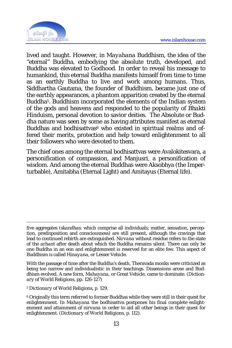

lived and taught. However, in *Mayahana* Buddhism, the idea of the "eternal" Buddha, embodying the absolute truth, developed, and Buddha was elevated to Godhood. In order to reveal his message to humankind, this eternal Buddha manifests himself from time to time as an earthly Buddha to live and work among humans. Thus, Siddhartha Gautama, the founder of Buddhism, became just one of the earthly appearances, a phantom apparition created by the eternal Buddha5. Buddhism incorporated the elements of the Indian system of the gods and heavens and responded to the popularity of *Bhakti* Hinduism, personal devotion to savior deities. The Absolute or Buddha nature was seen by some as having attributes manifest as eternal Buddhas and bodhisattvas<sup>6</sup> who existed in spiritual realms and offered their merits, protection and help toward enlightenment to all their followers who were devoted to them.

The chief ones among the eternal bodhisattvas were Avalokitesvara, a personification of compassion, and Manjusri, a personification of wisdom. And among the eternal Buddhas were Aksobhya (the Imperturbable), Amitabha (Eternal Light) and Amitayus (Eternal life).

<sup>5</sup> *Dictionary of World Religions*, p. 129.

1

five aggregates (*skandhas*: which comprise all individuals; matter, sensation, perception, predisposition and consciousness) are still present, although the cravings that lead to continued rebirth are extinguished. *Nirvana* without residue refers to the state of the *arhant* after death about which the Buddha remains silent. There can only be one Buddha in an eon and enlightenment is reserved for an elite few. This aspect of Buddhism is called *Hinayana*, or Lesser Vehicle.

With the passage of time after the Buddha's death, Theravada monks were criticized as being too narrow and individualistic in their teachings. Dissensions arose and Buddhism evolved. A new form, *Mahayana*, or Great Vehicle, came to dominate. (*Dictionary of World Religions*, pp. 126-127)

<sup>6</sup> Originally this term referred to former Buddhas while they were still in their quest for enlightenment. In *Mahayana* the bodhisattva postpones his final complete enlightenment and attainment of *nirvana* in order to aid all other beings in their quest for enlightenment. (*Dictionary of World Religions*, p. 112).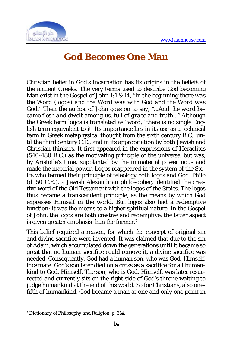

#### **God Becomes One Man**

Christian belief in God's incarnation has its origins in the beliefs of the ancient Greeks. The very terms used to describe God becoming Man exist in the Gospel of John 1:1 & 14, *"In the beginning there was the Word (logos) and the Word was with God and the Word was God."* Then the author of John goes on to say, *"...And the word [be](#page-13-0)came flesh and dwelt among us, full of grace and truth..."* Although the Greek term *logos* is translated as "word," there is no single English term equivalent to it. Its importance lies in its use as a technical term in Greek metaphysical thought from the sixth century B.C., until the third century C.E., and in its appropriation by both Jewish and Christian thinkers. It first appeared in the expressions of Heraclites (540-480 B.C.) as the motivating principle of the universe, but was, by Aristotle's time, supplanted by the immaterial power *nous* and made the material power. *Logos* reappeared in the system of the Stoics who termed their principle of teleology both logos and God. Philo (d. 50 C.E.), a Jewish Alexandrian philosopher, identified the creative word of the Old Testament with the *logos* of the Stoics. The logos thus became a transcendent principle, as the means by which God expresses Himself in the world. But logos also had a redemptive function; it was the means to a higher spiritual nature. In the Gospel of John, the logos are both creative and redemptive; the latter aspect is given greater emphasis than the former.7

This belief required a reason, for which the concept of original sin and divine sacrifice were invented. It was claimed that due to the sin of Adam, which accumulated down the generations until it became so great that no human sacrifice could remove it, a divine sacrifice was needed. Consequently, God had a human son, who was God, Himself, incarnate. God's son later died on a cross as a sacrifice for all humankind to God, Himself. The son, who is God, Himself, was later resurrected and currently sits on the right side of God's throne waiting to judge humankind at the end of this world. So for Christians, also onefifth of humankind, God became a man at one and only one point in

<span id="page-13-0"></span><sup>&</sup>lt;u>.</u> <sup>7</sup> *Dictionary of Philosophy and Religion*, p. 314.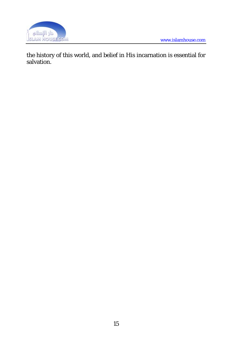

the history of this world, and belief in His incarnation is essential for salvation.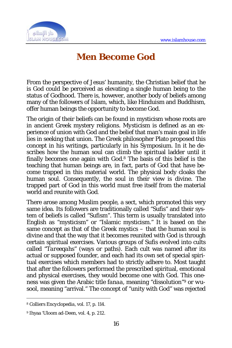

#### **Men Become God**

From the perspective of Jesus' humanity, the Christian belief that he is God could be perceived as elevating a single human being to the status of Godhood. There is, however, another body of beliefs among many of the followers of Islam, which, like Hinduism and Buddhism, offer human beings the opportunity to become God.

The origin of their beliefs can be found in mysticism whose roots are in ancient Greek mystery religions. *Mysticism* is defined as an experience of union with God and the belief that man's main goal in life lies in seeking that union. The Greek philosopher Plato proposed this concept in his writings, particularly in his *Symposium*. In it he describes how the human soul can climb the spiritual ladder until it finally becomes one again with God.8 The basis of this belief is the teaching that human beings are, in fact, parts of God that have become trapped in this material world. The physical body cloaks the human soul. Consequently, the soul in their view is divine. The trapped part of God in this world must free itself from the material world and reunite with God.

There arose among Muslim people, a sect, which promoted this very same idea. Its followers are traditionally called "*Sufis*" and their system of beliefs is called "*Sufism*". This term is usually translated into English as "mysticism" or "Islamic mysticism." It is based on the same concept as that of the Greek mystics – that the human soul is divine and that the way that it becomes reunited with God is through certain spiritual exercises. Various groups of Sufis evolved into cults called "*Tareeqahs*" (ways or paths). Each cult was named after its actual or supposed founder, and each had its own set of special spiritual exercises which members had to strictly adhere to. Most taught that after the followers performed the prescribed spiritual, emotional and physical exercises, they would become one with God. This oneness was given the Arabic title *fanaa*, meaning "dissolution"9 or *wusool*, meaning "arrival." The concept of "unity with God" was rejected

<u>.</u>

<span id="page-15-0"></span><sup>8</sup> *Colliers Encyclopedia*, vol. 17, p. 114.

<sup>9</sup> Ihyaa 'Uloom ad-Deen, vol. 4, p. 212.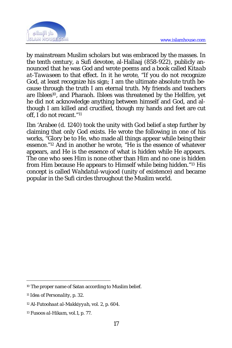

by mainstream Muslim scholars but was embraced by the masses. In the tenth century, a *Sufi* devotee, al-Hallaaj (858-922), publicly announced that he was God and wrote poems and a book called *Kitaab at-Tawaseen* to that effect. In it he wrote, "If you do not recognize God, at least recognize his sign; I am the ultimate absolute truth because through the truth I am eternal truth. My friends and teachers are Iblees10, and Pharaoh. Iblees was threatened by the Hellfire, yet he did not acknowledge anything between himself and God, and although I am killed and crucified, though my hands and feet are cut off, I do not recant."11

Ibn 'Arabee (d. 1240) took the unity with God belief a step further by claiming that only God exists. He wrote the following in one of his works, "Glory be to He, who made all things appear while being their essence."12 And in another he wrote, "He is the essence of whatever appears, and He is the essence of what is hidden while He appears. The one who sees Him is none other than Him and no one is hidden from Him because He appears to Himself while being hidden."13 His concept is called *Wahdatul-wujood* (unity of existence) and became popular in the Sufi circles throughout the Muslim world.

1

<sup>10</sup> The proper name of Satan according to Muslim belief.

<sup>11</sup> *Idea of Personality*, p. 32.

<sup>12</sup> *Al-Futoohaat al-Makkiyyah*, vol. 2, p. 604.

<sup>13</sup> *Fusoos al-Hikam*, vol.1, p. 77.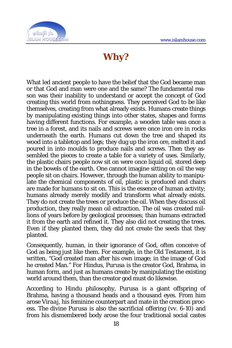

### **Why?**

What led ancient people to have the belief that the God became man or that God and man were one and the same? The fundamental reason was their inability to understand or accept the concept of God creating this world from nothingness. They perceived God to be like themselves, creating from what already exists. Humans create things by manipulating existing things into other states, shapes and forms having different functions. For example, a wooden table was once a tree in a forest, and its nails and screws were once iron ore in rocks underneath the earth. Humans cut down the tree and shaped its wood into a tabletop and legs; they dug up the iron ore, melted it and poured in into moulds to produce nails and screws. Then they assembled the pieces to create a table for a variety of uses. Similarly, the plastic chairs people now sit on were once liquid oil, stored deep in the bowels of the earth. One cannot imagine sitting on oil the way people sit on chairs. However, through the human ability to manipulate the chemical components of oil, plastic is produced and chairs are made for humans to sit on. This is the essence of human activity; humans already merely modify and transform what already exists. They do not create the trees or produce the oil. When they discuss oil production, they really mean oil extraction. The oil was created millions of years before by geological processes; than humans extracted it from the earth and refined it. They also did not creating the trees. Even if they planted them, they did not create the seeds that they planted.

Consequently, human, in their ignorance of God, often conceive of God as being just like them. For example, in the Old Testament, it is written, "God created man after his own image; in the image of God he created Man." For Hindus, *Purusa* is the creator God, Brahma, in human form, and just as humans create by manipulating the existing world around them, than the creator god must do likewise.

According to Hindu philosophy, *Purusa* is a giant offspring of Brahma, having a thousand heads and a thousand eyes. From him arose *Viraaj*, his feminine counterpart and mate in the creation process. The divine *Purusa* is also the sacrificial offering (vv. 6-10) and from his dismembered body arose the four traditional social castes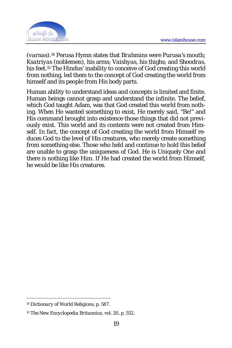

(*varnas*).14 Perusa Hymn states that *Brahmins* were *Purusa's* mouth; *Ksatriyas* (noblemen), his arms; *Vaishyas*, his thighs; and *Shoodras*, his feet.15 The Hindus' inability to conceive of God creating this world from nothing, led them to the concept of God creating the world from himself and its people from His body parts.

Human ability to understand ideas and concepts is limited and finite. Human beings cannot grasp and understand the infinite. The belief, which God taught Adam, was that God created this world from nothing. When He wanted something to exist, He merely said, "Be!" and His command brought into existence those things that did not previously exist. This world and its contents were not created from Himself. In fact, the concept of God creating the world from Himself reduces God to the level of His creatures, who merely create something from something else. Those who held and continue to hold this belief are unable to grasp the uniqueness of God. He is Uniquely One and there is nothing like Him. If He had created the world from Himself, he would be like His creatures.

<u>.</u>

<sup>14</sup> *Dictionary of World Religions*, p. 587.

<sup>15</sup> *The New Encyclopedia Britannica*, vol. 20, p. 552.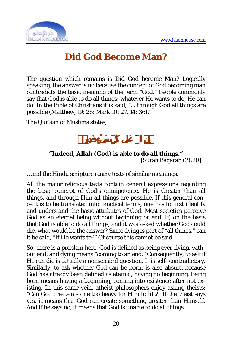

### **Did God Become Man?**

The question which remains is Did God become Man? Logically speaking, the answer is no because the concept of God becoming man contradicts the basic meaning of the term "God." People commonly say that God is able to do all things; whatever He wants to do, He can do. In the Bible of Christians it is said, "... through God all things are possible (Matthew, 19: 26; Mark 10: 27, 14: 36)."

The Qur'aan of Muslims states,

#### **"Indeed, Allah (God) is able to do all things."**  [Surah Baqarah (2):20]

…and the Hindu scriptures carry texts of similar meanings.

All the major religious texts contain general expressions regarding the basic concept of God's omnipotence. He is Greater than all things, and through Him all things are possible. If this general concept is to be translated into practical terms, one has to first identify and understand the basic attributes of God. Most societies perceive God as an eternal being without beginning or end. If, on the basis that God is able to do all things, and it was asked whether God could die, what would be the answer? Since dying is part of "all things," can it be said, "If He wants to?" Of course this cannot be said.

So, there is a problem here. God is defined as being ever-living, without end, and dying means "coming to an end." Consequently, to ask if He can die is actually a nonsensical question. It is self- contradictory. Similarly, to ask whether God can be born, is also absurd because God has already been defined as eternal, having no beginning. Being born means having a beginning, coming into existence after not existing. In this same vein, atheist philosophers enjoy asking theists: "Can God create a stone too heavy for Him to lift?" If the theist says yes, it means that God can create something greater than Himself. And if he says no, it means that God is unable to do all things.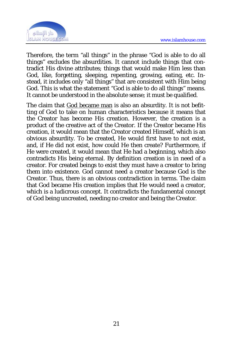

Therefore, the term "all things" in the phrase "God is able to do all things" excludes the absurdities. It cannot include things that contradict His divine attributes; things that would make Him less than God, like, forgetting, sleeping, repenting, growing, eating, etc. Instead, it includes only "all things" that are consistent with Him being God. This is what the statement "God is able to do all things" means. It cannot be understood in the absolute sense; it must be qualified.

The claim that God became man is also an absurdity. It is not befitting of God to take on human characteristics because it means that the Creator has become His creation. However, the creation is a product of the creative act of the Creator. If the Creator became His creation, it would mean that the Creator created Himself, which is an obvious absurdity. To be created, He would first have to not exist, and, if He did not exist, how could He then create? Furthermore, if He were created, it would mean that He had a beginning, which also contradicts His being eternal. By definition creation is in need of a creator. For created beings to exist they must have a creator to bring them into existence. God cannot need a creator because God is the Creator. Thus, there is an obvious contradiction in terms. The claim that God became His creation implies that He would need a creator, which is a ludicrous concept. It contradicts the fundamental concept of God being uncreated, needing no creator and being the Creator.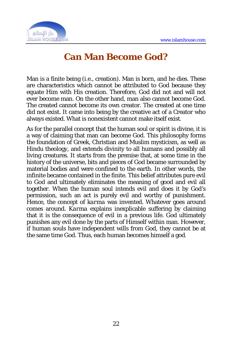

### **Can Man Become God?**

Man is a finite being (i.e., creation). Man is born, and he dies. These are characteristics which cannot be attributed to God because they equate Him with His creation. Therefore, God did not and will not ever become man. On the other hand, man also cannot become God. The created cannot become its own creator. The created at one time did not exist. It came into being by the creative act of a Creator who always existed. What is nonexistent cannot make itself exist.

As for the parallel concept that the human soul or spirit is divine, it is a way of claiming that man can become God. This philosophy forms the foundation of Greek, Christian and Muslim mysticism, as well as Hindu theology, and extends divinity to all humans and possibly all living creatures. It starts from the premise that, at some time in the history of the universe, bits and pieces of God became surrounded by material bodies and were confined to the earth. In other words, the infinite became contained in the finite. This belief attributes pure evil to God and ultimately eliminates the meaning of good and evil all together. When the human soul intends evil and does it by God's permission, such an act is purely evil and worthy of punishment. Hence, the concept of *karma* was invented. Whatever goes around comes around. *Karma* explains inexplicable suffering by claiming that it is the consequence of evil in a previous life. God ultimately punishes any evil done by the parts of Himself within man. However, if human souls have independent wills from God, they cannot be at the same time God. Thus, each human becomes himself a god.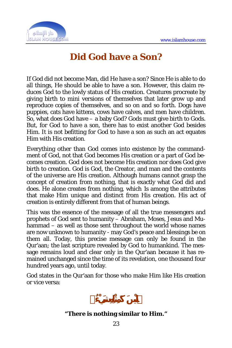

### **Did God have a Son?**

If God did not become Man, did He have a son? Since He is able to do all things, He should be able to have a son. However, this claim reduces God to the lowly status of His creation. Creatures procreate by giving birth to mini versions of themselves that later grow up and reproduce copies of themselves, and so on and so forth. Dogs have puppies, cats have kittens, cows have calves, and men have children. So, what does God have – a baby God? Gods must give birth to Gods. But, for God to have a son, there has to exist another God besides Him. It is not befitting for God to have a son as such an act equates Him with His creation.

Everything other than God comes into existence by the commandment of God, not that God becomes His creation or a part of God becomes creation. God does not become His creation nor does God give birth to creation. God is God, the Creator, and man and the contents of the universe are His creation. Although humans cannot grasp the concept of creation from nothing, that is exactly what God did and does. He alone creates from nothing, which 1s among the attributes that make Him unique and distinct from His creation. His act of creation is entirely different from that of human beings.

This was the essence of the message of all the true messengers and prophets of God sent to humanity – Abraham, Moses, Jesus and Muhammad – as well as those sent throughout the world whose names are now unknown to humanity - may God's peace and blessings be on them all. Today, this precise message can only be found in the Qur'aan; the last scripture revealed by God to humankind. The message remains loud and clear only in the Qur'aan because it has remained unchanged since the time of its revelation, one thousand four hundred years ago, until today.

God states in the Qur'aan for those who make Him like His creation or vice versa:

#### **"There is nothing similar to Him."**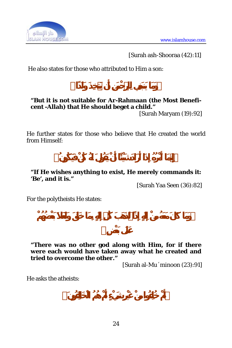

[Surah ash-Shooraa (42):11]

He also states for those who attributed to Him a son:

#### **"But it is not suitable for Ar-Rahmaan (the Most Beneficent -Allah) that He should beget a child."**

[Surah Maryam (19):92]

He further states for those who believe that He created the world from Himself:

#### **"If He wishes anything to exist, He merely commands it: 'Be', and it is."**

[Surah Yaa Seen (36):82]

For the polytheists He states:

**"There was no other god along with Him, for if there were each would have taken away what he created and tried to overcome the other."** 

[Surah al-Mu´minoon (23):91]

He asks the atheists: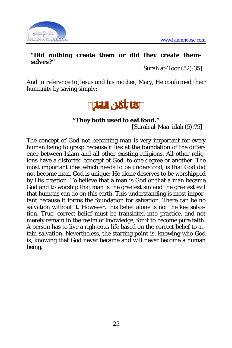

#### **"Did nothing create them or did they create themselves?"**

[Surah at-Toor (52):35]

And in reference to Jesus and his mother, Mary, He confirmed their humanity by saying simply:

#### **"They both used to eat food."**

[Surah al-Maa`idah (5):75]

The concept of God not becoming man is very important for every human being to grasp because it lies at the foundation of the difference between Islam and all other existing religions. All other religions have a distorted concept of God, to one degree or another. The most important idea which needs to be understood, is that God did not become man. God is unique; He alone deserves to be worshipped by His creation. To believe that a man is God or that a man became God and to worship that man is the greatest sin and the greatest evil that humans can do on this earth. This understanding is most important because it forms the foundation for salvation. There can be no salvation without it. However, this belief alone is not the key salvation. True, correct belief must be translated into practice, and not merely remain in the realm of knowledge, for it to become pure faith. A person has to live a righteous life based on the correct belief to attain salvation. Nevertheless, the starting point is, knowing who God is, knowing that God never became and will never become a human being.